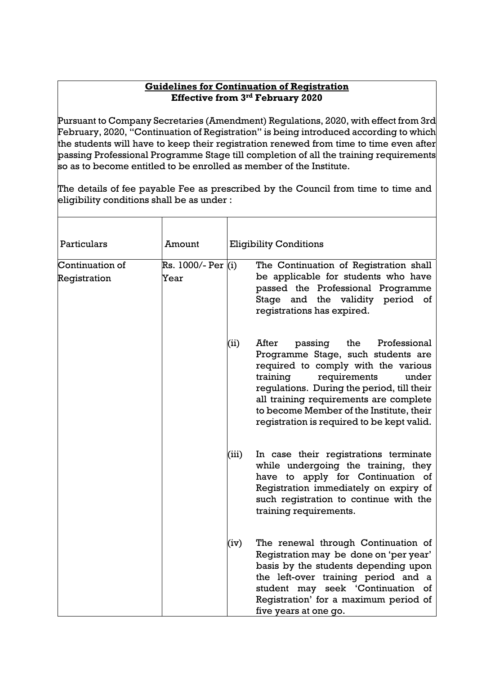## **Guidelines for Continuation of Registration Effective from 3rd February 2020**

Pursuant to Company Secretaries (Amendment) Regulations, 2020, with effect from 3rd February, 2020, "Continuation of Registration" is being introduced according to which the students will have to keep their registration renewed from time to time even after passing Professional Programme Stage till completion of all the training requirements so as to become entitled to be enrolled as member of the Institute.

The details of fee payable Fee as prescribed by the Council from time to time and eligibility conditions shall be as under :

| Particulars                     | Amount                     |       | <b>Eligibility Conditions</b>                                                                                                                                                                                                                                                                                                               |
|---------------------------------|----------------------------|-------|---------------------------------------------------------------------------------------------------------------------------------------------------------------------------------------------------------------------------------------------------------------------------------------------------------------------------------------------|
| Continuation of<br>Registration | Rs. 1000/- Per (i)<br>Year |       | The Continuation of Registration shall<br>be applicable for students who have<br>passed the Professional Programme<br>Stage and the validity period of<br>registrations has expired.                                                                                                                                                        |
|                                 |                            | (ii)  | After<br>passing<br>the<br>Professional<br>Programme Stage, such students are<br>required to comply with the various<br>training<br>requirements<br>under<br>regulations. During the period, till their<br>all training requirements are complete<br>to become Member of the Institute, their<br>registration is required to be kept valid. |
|                                 |                            | (iii) | In case their registrations terminate<br>while undergoing the training, they<br>have to apply for Continuation of<br>Registration immediately on expiry of<br>such registration to continue with the<br>training requirements.                                                                                                              |
|                                 |                            | (iv)  | The renewal through Continuation of<br>Registration may be done on 'per year'<br>basis by the students depending upon<br>the left-over training period and a<br>student may seek 'Continuation of<br>Registration' for a maximum period of<br>five years at one go.                                                                         |